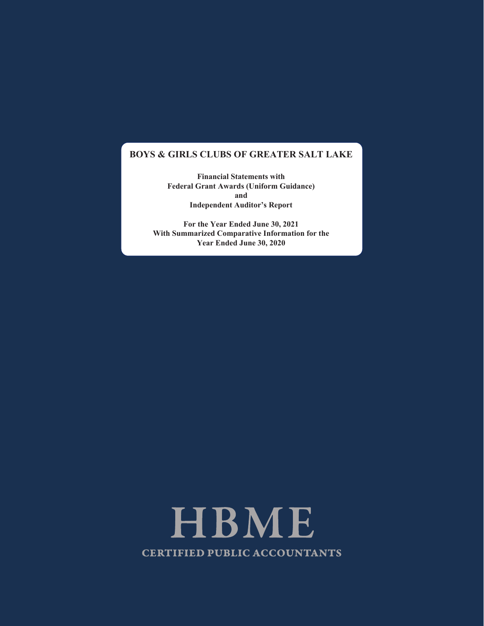# **BOYS & GIRLS CLUBS OF GREATER SALT LAKE**

**Financial Statements with Federal Grant Awards (Uniform Guidance)** and **Independent Auditor's Report** 

For the Year Ended June 30, 2021 With Summarized Comparative Information for the Year Ended June 30, 2020

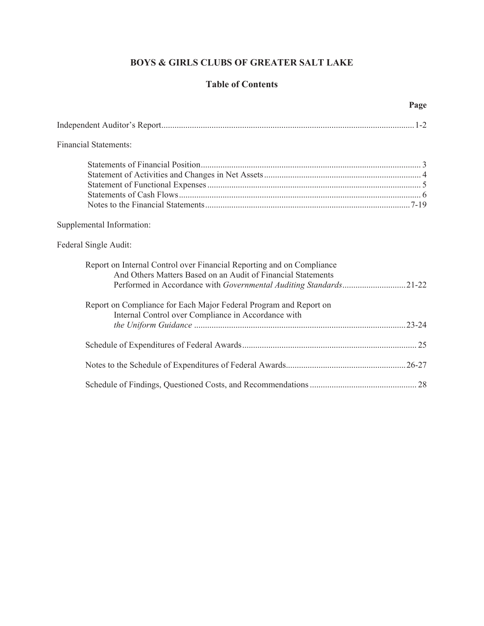# **BOYS & GIRLS CLUBS OF GREATER SALT LAKE**

# **Table of Contents**

| <b>Financial Statements:</b>                                                                                                                                                                               |
|------------------------------------------------------------------------------------------------------------------------------------------------------------------------------------------------------------|
|                                                                                                                                                                                                            |
| Supplemental Information:                                                                                                                                                                                  |
| Federal Single Audit:                                                                                                                                                                                      |
| Report on Internal Control over Financial Reporting and on Compliance<br>And Others Matters Based on an Audit of Financial Statements<br>Performed in Accordance with Governmental Auditing Standards21-22 |
| Report on Compliance for Each Major Federal Program and Report on<br>Internal Control over Compliance in Accordance with                                                                                   |
|                                                                                                                                                                                                            |
|                                                                                                                                                                                                            |
|                                                                                                                                                                                                            |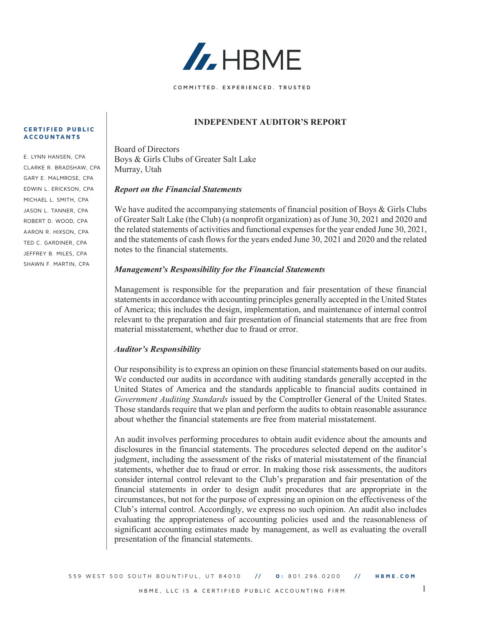

#### **COMMITTED. EXPERIENCED. TRUSTED**

# **INDEPENDENT AUDITOR'S REPORT**

Board of Directors Boys & Girls Clubs of Greater Salt Lake Murray, Utah

#### *Report on the Financial Statements*

We have audited the accompanying statements of financial position of Boys & Girls Clubs of Greater Salt Lake (the Club) (a nonprofit organization) as of June 30, 2021 and 2020 and the related statements of activities and functional expenses for the year ended June 30, 2021, and the statements of cash flows for the years ended June 30, 2021 and 2020 and the related notes to the financial statements.

#### *Management's Responsibility for the Financial Statements*

Management is responsible for the preparation and fair presentation of these financial statements in accordance with accounting principles generally accepted in the United States of America; this includes the design, implementation, and maintenance of internal control relevant to the preparation and fair presentation of financial statements that are free from material misstatement, whether due to fraud or error.

## *Auditor's Responsibility*

Our responsibility is to express an opinion on these financial statements based on our audits. We conducted our audits in accordance with auditing standards generally accepted in the United States of America and the standards applicable to financial audits contained in *Government Auditing Standards* issued by the Comptroller General of the United States. Those standards require that we plan and perform the audits to obtain reasonable assurance about whether the financial statements are free from material misstatement.

An audit involves performing procedures to obtain audit evidence about the amounts and disclosures in the financial statements. The procedures selected depend on the auditor's judgment, including the assessment of the risks of material misstatement of the financial statements, whether due to fraud or error. In making those risk assessments, the auditors consider internal control relevant to the Club's preparation and fair presentation of the financial statements in order to design audit procedures that are appropriate in the circumstances, but not for the purpose of expressing an opinion on the effectiveness of the Club's internal control. Accordingly, we express no such opinion. An audit also includes evaluating the appropriateness of accounting policies used and the reasonableness of significant accounting estimates made by management, as well as evaluating the overall presentation of the financial statements.

#### **CERTIFIED PUBLIC** ACCOUNTANTS

E. LYNN HANSEN, CPA CLARKE R. BRADSHAW, CPA GARY E. MALMROSE, CPA EDWIN L. ERICKSON, CPA MICHAEL L. SMITH, CPA JASON L. TANNER, CPA ROBERT D. WOOD, CPA AARON R. HIXSON, CPA TED C. GARDINER, CPA JEFFREY B. MILES, CPA SHAWN F. MARTIN, CPA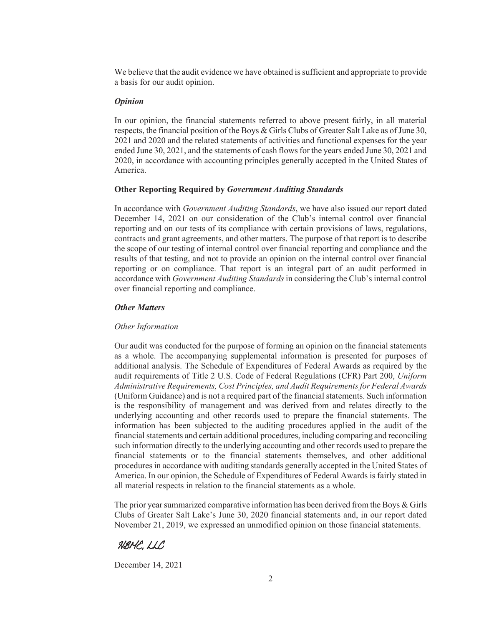We believe that the audit evidence we have obtained is sufficient and appropriate to provide a basis for our audit opinion.

#### *Opinion*

In our opinion, the financial statements referred to above present fairly, in all material respects, the financial position of the Boys & Girls Clubs of Greater Salt Lake as of June 30, 2021 and 2020 and the related statements of activities and functional expenses for the year ended June 30, 2021, and the statements of cash flows for the years ended June 30, 2021 and 2020, in accordance with accounting principles generally accepted in the United States of America.

#### **Other Reporting Required by** *Government Auditing Standards*

In accordance with *Government Auditing Standards*, we have also issued our report dated December 14, 2021 on our consideration of the Club's internal control over financial reporting and on our tests of its compliance with certain provisions of laws, regulations, contracts and grant agreements, and other matters. The purpose of that report is to describe the scope of our testing of internal control over financial reporting and compliance and the results of that testing, and not to provide an opinion on the internal control over financial reporting or on compliance. That report is an integral part of an audit performed in accordance with *Government Auditing Standards* in considering the Club's internal control over financial reporting and compliance.

#### *Other Matters*

#### *Other Information*

Our audit was conducted for the purpose of forming an opinion on the financial statements as a whole. The accompanying supplemental information is presented for purposes of additional analysis. The Schedule of Expenditures of Federal Awards as required by the audit requirements of Title 2 U.S. Code of Federal Regulations (CFR) Part 200, *Uniform Administrative Requirements, Cost Principles, and Audit Requirements for Federal Awards*  (Uniform Guidance) and is not a required part of the financial statements. Such information is the responsibility of management and was derived from and relates directly to the underlying accounting and other records used to prepare the financial statements. The information has been subjected to the auditing procedures applied in the audit of the financial statements and certain additional procedures, including comparing and reconciling such information directly to the underlying accounting and other records used to prepare the financial statements or to the financial statements themselves, and other additional procedures in accordance with auditing standards generally accepted in the United States of America. In our opinion, the Schedule of Expenditures of Federal Awards is fairly stated in all material respects in relation to the financial statements as a whole.

The prior year summarized comparative information has been derived from the Boys  $\&$  Girls Clubs of Greater Salt Lake's June 30, 2020 financial statements and, in our report dated November 21, 2019, we expressed an unmodified opinion on those financial statements.

HBME, LLC

December 14, 2021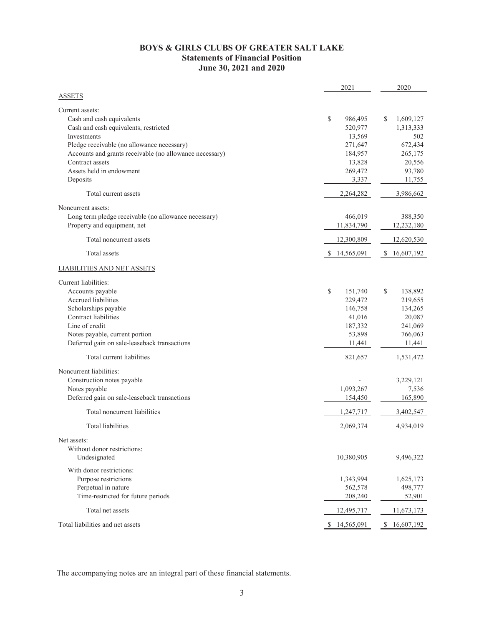# **BOYS & GIRLS CLUBS OF GREATER SALT LAKE Statements of Financial Position June 30, 2021 and 2020**

|                                                         | 2021             | 2020             |
|---------------------------------------------------------|------------------|------------------|
| <b>ASSETS</b>                                           |                  |                  |
| Current assets:<br>Cash and cash equivalents            | \$<br>986,495    | S<br>1,609,127   |
| Cash and cash equivalents, restricted                   | 520,977          | 1,313,333        |
| Investments                                             | 13,569           | 502              |
| Pledge receivable (no allowance necessary)              | 271,647          | 672,434          |
| Accounts and grants receivable (no allowance necessary) | 184,957          | 265,175          |
| Contract assets                                         | 13,828           | 20,556           |
| Assets held in endowment                                | 269,472          | 93,780           |
| Deposits                                                | 3,337            | 11,755           |
| Total current assets                                    | 2,264,282        | 3,986,662        |
| Noncurrent assets:                                      |                  |                  |
| Long term pledge receivable (no allowance necessary)    | 466,019          | 388,350          |
| Property and equipment, net                             | 11,834,790       | 12,232,180       |
| Total noncurrent assets                                 | 12,300,809       | 12,620,530       |
| Total assets                                            | 14,565,091<br>\$ | 16,607,192<br>\$ |
| LIABILITIES AND NET ASSETS                              |                  |                  |
| Current liabilities:                                    |                  |                  |
| Accounts payable                                        | \$<br>151,740    | \$<br>138,892    |
| Accrued liabilities                                     | 229,472          | 219,655          |
| Scholarships payable                                    | 146,758          | 134,265          |
| Contract liabilities                                    | 41,016           | 20,087           |
| Line of credit                                          | 187,332          | 241,069          |
| Notes payable, current portion                          | 53,898           | 766,063          |
| Deferred gain on sale-leaseback transactions            | 11,441           | 11,441           |
| Total current liabilities                               | 821,657          | 1,531,472        |
| Noncurrent liabilities:                                 |                  |                  |
| Construction notes payable                              |                  | 3,229,121        |
| Notes payable                                           | 1,093,267        | 7,536            |
| Deferred gain on sale-leaseback transactions            | 154,450          | 165,890          |
| Total noncurrent liabilities                            | 1,247,717        | 3,402,547        |
| <b>Total liabilities</b>                                | 2,069,374        | 4,934,019        |
| Net assets:                                             |                  |                  |
| Without donor restrictions:                             |                  |                  |
| Undesignated                                            | 10,380,905       | 9,496,322        |
|                                                         |                  |                  |
| With donor restrictions:                                |                  |                  |
| Purpose restrictions                                    | 1,343,994        | 1,625,173        |
| Perpetual in nature                                     | 562,578          | 498,777          |
| Time-restricted for future periods                      | 208,240          | 52,901           |
| Total net assets                                        | 12,495,717       | 11,673,173       |
| Total liabilities and net assets                        | \$14,565,091     | \$16,607,192     |

The accompanying notes are an integral part of these financial statements.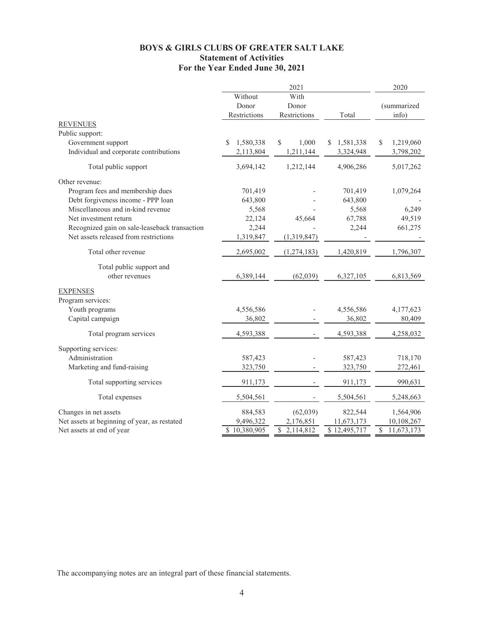# **BOYS & GIRLS CLUBS OF GREATER SALT LAKE Statement of Activities For the Year Ended June 30, 2021**

|                                               |   |              | 2021            |                 | 2020             |
|-----------------------------------------------|---|--------------|-----------------|-----------------|------------------|
|                                               |   | Without      | With            |                 |                  |
|                                               |   | Donor        | Donor           |                 | (summarized      |
|                                               |   | Restrictions | Restrictions    | Total           | info)            |
| <b>REVENUES</b>                               |   |              |                 |                 |                  |
| Public support:                               |   |              |                 |                 |                  |
| Government support                            | S | 1,580,338    | \$<br>1,000     | \$<br>1,581,338 | \$<br>1,219,060  |
| Individual and corporate contributions        |   | 2,113,804    | 1,211,144       | 3,324,948       | 3,798,202        |
| Total public support                          |   | 3,694,142    | 1,212,144       | 4,906,286       | 5,017,262        |
| Other revenue:                                |   |              |                 |                 |                  |
| Program fees and membership dues              |   | 701,419      |                 | 701,419         | 1,079,264        |
| Debt forgiveness income - PPP loan            |   | 643,800      |                 | 643,800         |                  |
| Miscellaneous and in-kind revenue             |   | 5,568        |                 | 5,568           | 6,249            |
| Net investment return                         |   | 22,124       | 45,664          | 67,788          | 49,519           |
| Recognized gain on sale-leaseback transaction |   | 2,244        |                 | 2,244           | 661,275          |
| Net assets released from restrictions         |   | 1,319,847    | (1,319,847)     |                 |                  |
| Total other revenue                           |   | 2,695,002    | (1,274,183)     | 1,420,819       | 1,796,307        |
| Total public support and                      |   |              |                 |                 |                  |
| other revenues                                |   | 6,389,144    | (62,039)        | 6,327,105       | 6,813,569        |
| <b>EXPENSES</b>                               |   |              |                 |                 |                  |
| Program services:                             |   |              |                 |                 |                  |
| Youth programs                                |   | 4,556,586    |                 | 4,556,586       | 4,177,623        |
| Capital campaign                              |   | 36,802       |                 | 36,802          | 80,409           |
| Total program services                        |   | 4,593,388    |                 | 4,593,388       | 4,258,032        |
| Supporting services:                          |   |              |                 |                 |                  |
| Administration                                |   | 587,423      |                 | 587,423         | 718,170          |
| Marketing and fund-raising                    |   | 323,750      |                 | 323,750         | 272,461          |
| Total supporting services                     |   | 911,173      |                 | 911,173         | 990,631          |
| Total expenses                                |   | 5,504,561    |                 | 5,504,561       | 5,248,663        |
| Changes in net assets                         |   | 884,583      | (62,039)        | 822,544         | 1,564,906        |
| Net assets at beginning of year, as restated  |   | 9,496,322    | 2,176,851       | 11,673,173      | 10,108,267       |
| Net assets at end of year                     |   | \$10,380,905 | \$<br>2,114,812 | \$12,495,717    | \$<br>11,673,173 |

The accompanying notes are an integral part of these financial statements.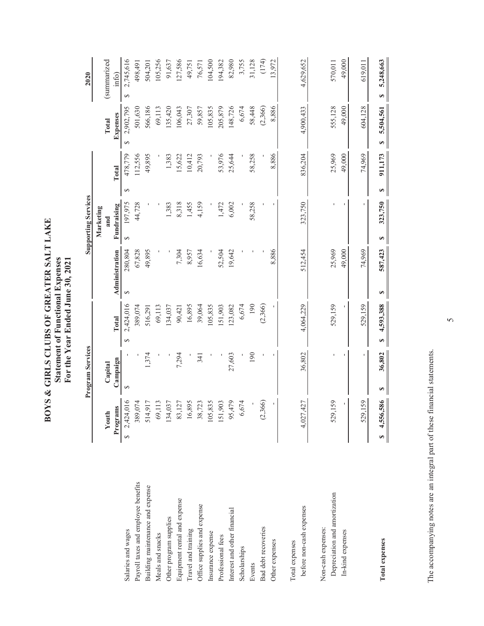|                                     |                    | Program Services | <b>Statement of Functional Expenses</b><br>For the Year Ended June 30, 2021 |                | <b>Supporting Services</b> |              |                | 2020           |
|-------------------------------------|--------------------|------------------|-----------------------------------------------------------------------------|----------------|----------------------------|--------------|----------------|----------------|
|                                     | Youth              | Capital          |                                                                             |                | Marketing<br>and           |              | Total          | (summarized    |
|                                     | Programs           | Campaign         | Total                                                                       | Administration | Fundraising                | Total        | Expenses       | $\inf$ o       |
| Salaries and wages                  | 2,424,016          | ↔                | 2,424,016<br>↔                                                              | 280,804<br>↔   | 197,975<br>↔               | 478,779<br>↔ | 2,902,795<br>S | 2,745,616<br>↔ |
| Payroll taxes and employee benefits |                    |                  | 389,074                                                                     | 67,828         | 44,728                     | 112,556      | 501,630        | 498,491        |
| Building maintenance and expense    | 389,074<br>514,917 | 1,374            | 516,291                                                                     | 49,895         |                            | 49,895       | 566,186        | 504,201        |
| Meals and snacks                    | 69,113             |                  | 69,113                                                                      |                |                            |              | 69,113         | 105,256        |
| Other program supplies              | 134,037            |                  | 134,037                                                                     |                | 1,383                      | 1,383        | 135,420        | 91,637         |
| Equipment rental and expense        | 83,127             | 7,294            | 90,421                                                                      | 7,304          | 8,318                      | 15,622       | 106,043        | 127,586        |
| Travel and training                 | 16,895             |                  | 16,895                                                                      | 8,957          | 1,455                      | 10,412       | 27,307         | 49,751         |
| Office supplies and expense         | 38,723             | 341              | 39,064                                                                      | 16,634         | 4,159                      | 20,793       | 59,857         | 76,571         |
| Insurance expense                   | 105,835            |                  | 105,835                                                                     |                |                            |              | 105,835        | 104,500        |
| Professional fees                   | 151,903            |                  | 151,903                                                                     | 52,504         | 1,472                      | 53,976       | 205,879        | 194,382        |
| Interest and other financial        | 95,479             | 27,603           | 123,082                                                                     | 19,642         | 6,002                      | 25,644       | 148,726        | 82,980         |
| Scholarships                        | 6,674              |                  | 6,674                                                                       |                |                            |              | 6,674          | 3,755          |
| Events                              |                    | 190              | 190                                                                         |                | 58,258                     | 58,258       | 58,448         | 31,128         |
| Bad debt recoveries                 | (2,366)            |                  | (2,366)                                                                     |                |                            |              | (2,366)        | (174)          |
| Other expenses                      |                    |                  |                                                                             | 8.886          |                            | 8,886        | 8,886          | 13,972         |
| Total expenses                      |                    |                  |                                                                             |                |                            |              |                |                |
| before non-cash expenses            | 427<br>4.027.      | 36,802           | 4,064,229                                                                   | 512,454        | 323,750                    | 836,204      | 4,900,433      | 4,629,652      |
| Non-cash expenses:                  |                    |                  |                                                                             |                |                            |              |                |                |
| Depreciation and amortization       | 529,159            |                  | 529,159                                                                     | 25,969         |                            | 25,969       | 555,128        | 570,011        |
| In-kind expenses                    | I.                 |                  |                                                                             | 49,000         |                            | 49,000       | 49,000         | 49,000         |
|                                     | 159<br>529,        | J.               | 529,159                                                                     | 74,969         | J.                         | 74,969       | 604,128        | 619,011        |
| <b>Total</b> expenses               | 4,556,586          | 36,802<br>Ø      | 4,593,388<br>Ø                                                              | 587,423<br>↮   | 323,750<br>Ø               | 911,173<br>Ø | 5,504,561<br>Ø | 5,248,663<br>Ø |
|                                     |                    |                  |                                                                             |                |                            |              |                |                |

**BOYS & GIRLS CLUBS OF GREATER SALT LAKE Statement of Functional Expenses** 

BOYS & GIRLS CLUBS OF GREATER SALT LAKE

The accompanying notes are an integral part of these financial statements. The accompanying notes are an integral part of these financial statements.

 $\sigma$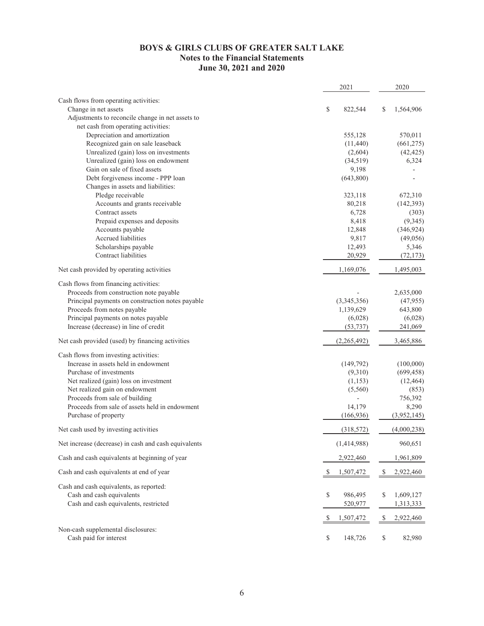|                                                      | 2021            | 2020            |
|------------------------------------------------------|-----------------|-----------------|
| Cash flows from operating activities:                |                 |                 |
| Change in net assets                                 | \$<br>822,544   | \$<br>1,564,906 |
| Adjustments to reconcile change in net assets to     |                 |                 |
| net cash from operating activities:                  |                 |                 |
| Depreciation and amortization                        | 555,128         | 570,011         |
| Recognized gain on sale leaseback                    | (11,440)        | (661, 275)      |
| Unrealized (gain) loss on investments                | (2,604)         | (42, 425)       |
| Unrealized (gain) loss on endowment                  | (34, 519)       | 6,324           |
| Gain on sale of fixed assets                         | 9,198           |                 |
| Debt forgiveness income - PPP loan                   | (643,800)       |                 |
| Changes in assets and liabilities:                   |                 |                 |
| Pledge receivable                                    | 323,118         | 672,310         |
| Accounts and grants receivable                       | 80,218          | (142, 393)      |
| Contract assets                                      | 6,728           | (303)           |
| Prepaid expenses and deposits                        | 8,418           | (9,345)         |
| Accounts payable                                     | 12,848          | (346, 924)      |
| <b>Accrued liabilities</b>                           | 9,817           | (49,056)        |
| Scholarships payable                                 | 12,493          | 5,346           |
| Contract liabilities                                 | 20,929          | (72, 173)       |
|                                                      |                 |                 |
| Net cash provided by operating activities            | 1,169,076       | 1,495,003       |
| Cash flows from financing activities:                |                 |                 |
| Proceeds from construction note payable              |                 | 2,635,000       |
| Principal payments on construction notes payable     | (3,345,356)     | (47, 955)       |
| Proceeds from notes payable                          | 1,139,629       | 643,800         |
| Principal payments on notes payable                  | (6,028)         | (6,028)         |
| Increase (decrease) in line of credit                | (53, 737)       | 241,069         |
| Net cash provided (used) by financing activities     | (2,265,492)     | 3,465,886       |
| Cash flows from investing activities:                |                 |                 |
| Increase in assets held in endowment                 | (149, 792)      | (100,000)       |
| Purchase of investments                              | (9,310)         | (699, 458)      |
| Net realized (gain) loss on investment               | (1, 153)        | (12, 464)       |
| Net realized gain on endowment                       | (5,560)         | (853)           |
| Proceeds from sale of building                       |                 | 756,392         |
| Proceeds from sale of assets held in endowment       | 14,179          | 8,290           |
| Purchase of property                                 | (166, 936)      | (3,952,145)     |
| Net cash used by investing activities                | (318, 572)      | (4,000,238)     |
| Net increase (decrease) in cash and cash equivalents | (1,414,988)     | 960,651         |
| Cash and cash equivalents at beginning of year       | 2,922,460       | 1,961,809       |
| Cash and cash equivalents at end of year             | -S<br>1,507,472 | S<br>2,922,460  |
| Cash and cash equivalents, as reported:              |                 |                 |
| Cash and cash equivalents                            | \$<br>986,495   | \$<br>1,609,127 |
| Cash and cash equivalents, restricted                | 520,977         | 1,313,333       |
|                                                      |                 |                 |
|                                                      | 1,507,472<br>-S | \$<br>2,922,460 |
| Non-cash supplemental disclosures:                   |                 |                 |
| Cash paid for interest                               | \$<br>148,726   | \$<br>82,980    |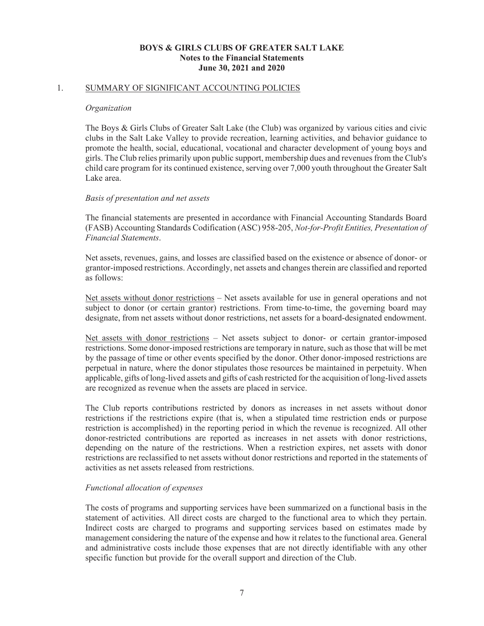# 1. SUMMARY OF SIGNIFICANT ACCOUNTING POLICIES

#### *Organization*

The Boys & Girls Clubs of Greater Salt Lake (the Club) was organized by various cities and civic clubs in the Salt Lake Valley to provide recreation, learning activities, and behavior guidance to promote the health, social, educational, vocational and character development of young boys and girls. The Club relies primarily upon public support, membership dues and revenues from the Club's child care program for its continued existence, serving over 7,000 youth throughout the Greater Salt Lake area.

### *Basis of presentation and net assets*

The financial statements are presented in accordance with Financial Accounting Standards Board (FASB) Accounting Standards Codification (ASC) 958-205, *Not-for-Profit Entities, Presentation of Financial Statements*.

Net assets, revenues, gains, and losses are classified based on the existence or absence of donor- or grantor-imposed restrictions. Accordingly, net assets and changes therein are classified and reported as follows:

Net assets without donor restrictions – Net assets available for use in general operations and not subject to donor (or certain grantor) restrictions. From time-to-time, the governing board may designate, from net assets without donor restrictions, net assets for a board-designated endowment.

Net assets with donor restrictions – Net assets subject to donor- or certain grantor-imposed restrictions. Some donor-imposed restrictions are temporary in nature, such as those that will be met by the passage of time or other events specified by the donor. Other donor-imposed restrictions are perpetual in nature, where the donor stipulates those resources be maintained in perpetuity. When applicable, gifts of long-lived assets and gifts of cash restricted for the acquisition of long-lived assets are recognized as revenue when the assets are placed in service.

The Club reports contributions restricted by donors as increases in net assets without donor restrictions if the restrictions expire (that is, when a stipulated time restriction ends or purpose restriction is accomplished) in the reporting period in which the revenue is recognized. All other donor-restricted contributions are reported as increases in net assets with donor restrictions, depending on the nature of the restrictions. When a restriction expires, net assets with donor restrictions are reclassified to net assets without donor restrictions and reported in the statements of activities as net assets released from restrictions.

#### *Functional allocation of expenses*

The costs of programs and supporting services have been summarized on a functional basis in the statement of activities. All direct costs are charged to the functional area to which they pertain. Indirect costs are charged to programs and supporting services based on estimates made by management considering the nature of the expense and how it relates to the functional area. General and administrative costs include those expenses that are not directly identifiable with any other specific function but provide for the overall support and direction of the Club.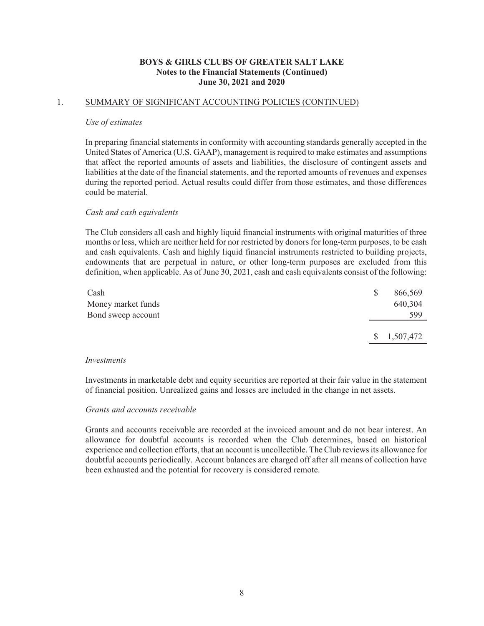# 1. SUMMARY OF SIGNIFICANT ACCOUNTING POLICIES (CONTINUED)

#### *Use of estimates*

In preparing financial statements in conformity with accounting standards generally accepted in the United States of America (U.S. GAAP), management is required to make estimates and assumptions that affect the reported amounts of assets and liabilities, the disclosure of contingent assets and liabilities at the date of the financial statements, and the reported amounts of revenues and expenses during the reported period. Actual results could differ from those estimates, and those differences could be material.

### *Cash and cash equivalents*

The Club considers all cash and highly liquid financial instruments with original maturities of three months or less, which are neither held for nor restricted by donors for long-term purposes, to be cash and cash equivalents. Cash and highly liquid financial instruments restricted to building projects, endowments that are perpetual in nature, or other long-term purposes are excluded from this definition, when applicable. As of June 30, 2021, cash and cash equivalents consist of the following:

| Cash               | S            | 866,569   |
|--------------------|--------------|-----------|
| Money market funds |              | 640,304   |
| Bond sweep account |              | 599       |
|                    |              |           |
|                    | <sup>S</sup> | 1,507,472 |

#### *Investments*

Investments in marketable debt and equity securities are reported at their fair value in the statement of financial position. Unrealized gains and losses are included in the change in net assets.

# *Grants and accounts receivable*

Grants and accounts receivable are recorded at the invoiced amount and do not bear interest. An allowance for doubtful accounts is recorded when the Club determines, based on historical experience and collection efforts, that an account is uncollectible. The Club reviews its allowance for doubtful accounts periodically. Account balances are charged off after all means of collection have been exhausted and the potential for recovery is considered remote.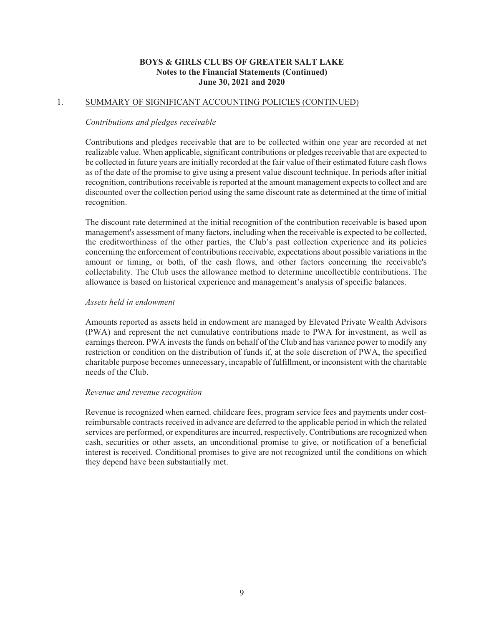# 1. SUMMARY OF SIGNIFICANT ACCOUNTING POLICIES (CONTINUED)

#### *Contributions and pledges receivable*

Contributions and pledges receivable that are to be collected within one year are recorded at net realizable value. When applicable, significant contributions or pledges receivable that are expected to be collected in future years are initially recorded at the fair value of their estimated future cash flows as of the date of the promise to give using a present value discount technique. In periods after initial recognition, contributions receivable is reported at the amount management expects to collect and are discounted over the collection period using the same discount rate as determined at the time of initial recognition.

The discount rate determined at the initial recognition of the contribution receivable is based upon management's assessment of many factors, including when the receivable is expected to be collected, the creditworthiness of the other parties, the Club's past collection experience and its policies concerning the enforcement of contributions receivable, expectations about possible variations in the amount or timing, or both, of the cash flows, and other factors concerning the receivable's collectability. The Club uses the allowance method to determine uncollectible contributions. The allowance is based on historical experience and management's analysis of specific balances.

### *Assets held in endowment*

Amounts reported as assets held in endowment are managed by Elevated Private Wealth Advisors (PWA) and represent the net cumulative contributions made to PWA for investment, as well as earnings thereon. PWA invests the funds on behalf of the Club and has variance power to modify any restriction or condition on the distribution of funds if, at the sole discretion of PWA, the specified charitable purpose becomes unnecessary, incapable of fulfillment, or inconsistent with the charitable needs of the Club.

#### *Revenue and revenue recognition*

Revenue is recognized when earned. childcare fees, program service fees and payments under costreimbursable contracts received in advance are deferred to the applicable period in which the related services are performed, or expenditures are incurred, respectively. Contributions are recognized when cash, securities or other assets, an unconditional promise to give, or notification of a beneficial interest is received. Conditional promises to give are not recognized until the conditions on which they depend have been substantially met.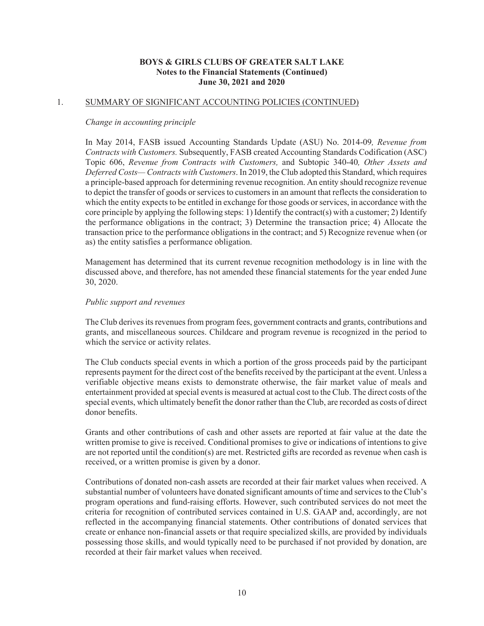### 1. SUMMARY OF SIGNIFICANT ACCOUNTING POLICIES (CONTINUED)

#### *Change in accounting principle*

In May 2014, FASB issued Accounting Standards Update (ASU) No. 2014-09*, Revenue from Contracts with Customers.* Subsequently, FASB created Accounting Standards Codification (ASC) Topic 606, *Revenue from Contracts with Customers,* and Subtopic 340-40*, Other Assets and Deferred Costs— Contracts with Customers*. In 2019, the Club adopted this Standard, which requires a principle-based approach for determining revenue recognition. An entity should recognize revenue to depict the transfer of goods or services to customers in an amount that reflects the consideration to which the entity expects to be entitled in exchange for those goods or services, in accordance with the core principle by applying the following steps: 1) Identify the contract(s) with a customer; 2) Identify the performance obligations in the contract; 3) Determine the transaction price; 4) Allocate the transaction price to the performance obligations in the contract; and 5) Recognize revenue when (or as) the entity satisfies a performance obligation.

Management has determined that its current revenue recognition methodology is in line with the discussed above, and therefore, has not amended these financial statements for the year ended June 30, 2020.

### *Public support and revenues*

The Club derives its revenues from program fees, government contracts and grants, contributions and grants, and miscellaneous sources. Childcare and program revenue is recognized in the period to which the service or activity relates.

The Club conducts special events in which a portion of the gross proceeds paid by the participant represents payment for the direct cost of the benefits received by the participant at the event. Unless a verifiable objective means exists to demonstrate otherwise, the fair market value of meals and entertainment provided at special events is measured at actual cost to the Club. The direct costs of the special events, which ultimately benefit the donor rather than the Club, are recorded as costs of direct donor benefits.

Grants and other contributions of cash and other assets are reported at fair value at the date the written promise to give is received. Conditional promises to give or indications of intentions to give are not reported until the condition(s) are met. Restricted gifts are recorded as revenue when cash is received, or a written promise is given by a donor.

Contributions of donated non-cash assets are recorded at their fair market values when received. A substantial number of volunteers have donated significant amounts of time and services to the Club's program operations and fund-raising efforts. However, such contributed services do not meet the criteria for recognition of contributed services contained in U.S. GAAP and, accordingly, are not reflected in the accompanying financial statements. Other contributions of donated services that create or enhance non-financial assets or that require specialized skills, are provided by individuals possessing those skills, and would typically need to be purchased if not provided by donation, are recorded at their fair market values when received.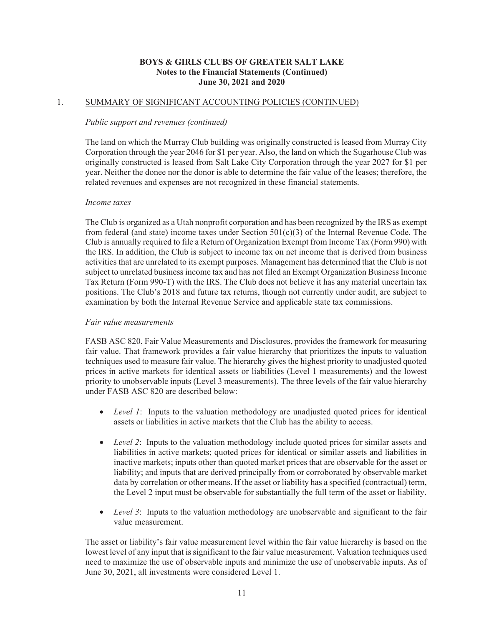# 1. SUMMARY OF SIGNIFICANT ACCOUNTING POLICIES (CONTINUED)

### *Public support and revenues (continued)*

The land on which the Murray Club building was originally constructed is leased from Murray City Corporation through the year 2046 for \$1 per year. Also, the land on which the Sugarhouse Club was originally constructed is leased from Salt Lake City Corporation through the year 2027 for \$1 per year. Neither the donee nor the donor is able to determine the fair value of the leases; therefore, the related revenues and expenses are not recognized in these financial statements.

#### *Income taxes*

The Club is organized as a Utah nonprofit corporation and has been recognized by the IRS as exempt from federal (and state) income taxes under Section  $501(c)(3)$  of the Internal Revenue Code. The Club is annually required to file a Return of Organization Exempt from Income Tax (Form 990) with the IRS. In addition, the Club is subject to income tax on net income that is derived from business activities that are unrelated to its exempt purposes. Management has determined that the Club is not subject to unrelated business income tax and has not filed an Exempt Organization Business Income Tax Return (Form 990-T) with the IRS. The Club does not believe it has any material uncertain tax positions. The Club's 2018 and future tax returns, though not currently under audit, are subject to examination by both the Internal Revenue Service and applicable state tax commissions.

# *Fair value measurements*

FASB ASC 820, Fair Value Measurements and Disclosures, provides the framework for measuring fair value. That framework provides a fair value hierarchy that prioritizes the inputs to valuation techniques used to measure fair value. The hierarchy gives the highest priority to unadjusted quoted prices in active markets for identical assets or liabilities (Level 1 measurements) and the lowest priority to unobservable inputs (Level 3 measurements). The three levels of the fair value hierarchy under FASB ASC 820 are described below:

- *Level 1*: Inputs to the valuation methodology are unadjusted quoted prices for identical assets or liabilities in active markets that the Club has the ability to access.
- *Level 2*: Inputs to the valuation methodology include quoted prices for similar assets and liabilities in active markets; quoted prices for identical or similar assets and liabilities in inactive markets; inputs other than quoted market prices that are observable for the asset or liability; and inputs that are derived principally from or corroborated by observable market data by correlation or other means. If the asset or liability has a specified (contractual) term, the Level 2 input must be observable for substantially the full term of the asset or liability.
- *Level 3*: Inputs to the valuation methodology are unobservable and significant to the fair value measurement.

The asset or liability's fair value measurement level within the fair value hierarchy is based on the lowest level of any input that is significant to the fair value measurement. Valuation techniques used need to maximize the use of observable inputs and minimize the use of unobservable inputs. As of June 30, 2021, all investments were considered Level 1.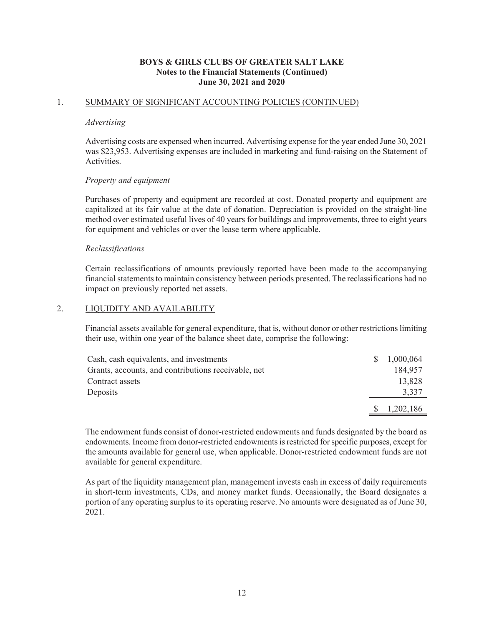# 1. SUMMARY OF SIGNIFICANT ACCOUNTING POLICIES (CONTINUED)

#### *Advertising*

Advertising costs are expensed when incurred. Advertising expense for the year ended June 30, 2021 was \$23,953. Advertising expenses are included in marketing and fund-raising on the Statement of Activities.

#### *Property and equipment*

Purchases of property and equipment are recorded at cost. Donated property and equipment are capitalized at its fair value at the date of donation. Depreciation is provided on the straight-line method over estimated useful lives of 40 years for buildings and improvements, three to eight years for equipment and vehicles or over the lease term where applicable.

#### *Reclassifications*

Certain reclassifications of amounts previously reported have been made to the accompanying financial statements to maintain consistency between periods presented. The reclassifications had no impact on previously reported net assets.

# 2. LIQUIDITY AND AVAILABILITY

Financial assets available for general expenditure, that is, without donor or other restrictions limiting their use, within one year of the balance sheet date, comprise the following:

| Cash, cash equivalents, and investments             | S  | 1,000,064 |
|-----------------------------------------------------|----|-----------|
| Grants, accounts, and contributions receivable, net |    | 184,957   |
| Contract assets                                     |    | 13,828    |
| Deposits                                            |    | 3,337     |
|                                                     | S. | 1,202,186 |

The endowment funds consist of donor-restricted endowments and funds designated by the board as endowments. Income from donor-restricted endowments is restricted for specific purposes, except for the amounts available for general use, when applicable. Donor-restricted endowment funds are not available for general expenditure.

As part of the liquidity management plan, management invests cash in excess of daily requirements in short-term investments, CDs, and money market funds. Occasionally, the Board designates a portion of any operating surplus to its operating reserve. No amounts were designated as of June 30, 2021.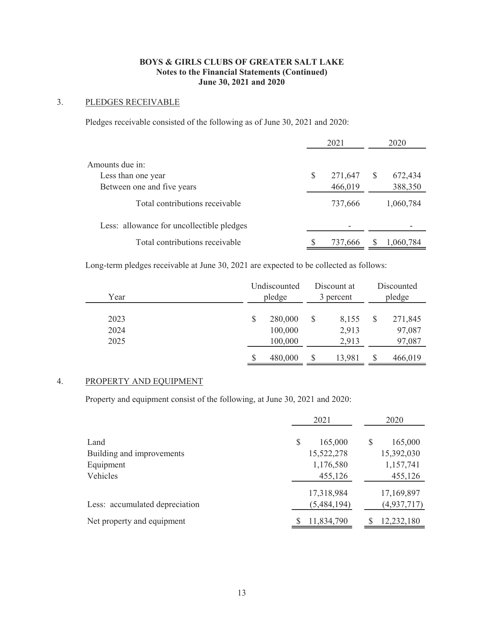# 3. PLEDGES RECEIVABLE

Pledges receivable consisted of the following as of June 30, 2021 and 2020:

|                                           |   | 2021    |              | 2020      |
|-------------------------------------------|---|---------|--------------|-----------|
| Amounts due in:<br>Less than one year     | S | 271,647 | <sup>S</sup> | 672,434   |
| Between one and five years                |   | 466,019 |              | 388,350   |
| Total contributions receivable            |   | 737,666 |              | 1,060,784 |
| Less: allowance for uncollectible pledges |   |         |              |           |
| Total contributions receivable            |   | 737,666 |              | 1,060,784 |

Long-term pledges receivable at June 30, 2021 are expected to be collected as follows:

| Year                 | Undiscounted<br>pledge        | Discount at<br>3 percent      |               | Discounted<br>pledge        |
|----------------------|-------------------------------|-------------------------------|---------------|-----------------------------|
| 2023<br>2024<br>2025 | 280,000<br>100,000<br>100,000 | \$<br>8,155<br>2,913<br>2,913 | $\mathcal{S}$ | 271,845<br>97,087<br>97,087 |
|                      | 480,000                       | \$<br>13,981                  |               | 466,019                     |

# 4. PROPERTY AND EQUIPMENT

Property and equipment consist of the following, at June 30, 2021 and 2020:

|                                | 2021          | 2020          |
|--------------------------------|---------------|---------------|
| Land                           | \$<br>165,000 | \$<br>165,000 |
| Building and improvements      | 15,522,278    | 15,392,030    |
| Equipment                      | 1,176,580     | 1,157,741     |
| Vehicles                       | 455,126       | 455,126       |
|                                | 17,318,984    | 17,169,897    |
| Less: accumulated depreciation | (5,484,194)   | (4,937,717)   |
| Net property and equipment     | 11,834,790    | 12,232,180    |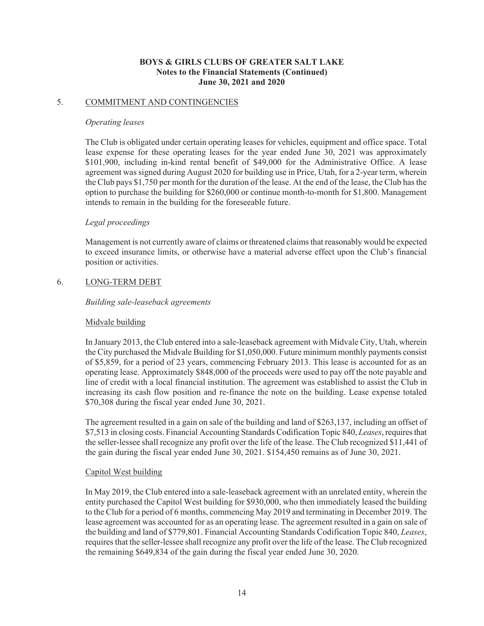# 5. COMMITMENT AND CONTINGENCIES

### *Operating leases*

The Club is obligated under certain operating leases for vehicles, equipment and office space. Total lease expense for these operating leases for the year ended June 30, 2021 was approximately \$101,900, including in-kind rental benefit of \$49,000 for the Administrative Office. A lease agreement was signed during August 2020 for building use in Price, Utah, for a 2-year term, wherein the Club pays \$1,750 per month for the duration of the lease. At the end of the lease, the Club has the option to purchase the building for \$260,000 or continue month-to-month for \$1,800. Management intends to remain in the building for the foreseeable future.

# *Legal proceedings*

Management is not currently aware of claims or threatened claims that reasonably would be expected to exceed insurance limits, or otherwise have a material adverse effect upon the Club's financial position or activities.

# 6. LONG-TERM DEBT

# *Building sale-leaseback agreements*

# Midvale building

In January 2013, the Club entered into a sale-leaseback agreement with Midvale City, Utah, wherein the City purchased the Midvale Building for \$1,050,000. Future minimum monthly payments consist of \$5,859, for a period of 23 years, commencing February 2013. This lease is accounted for as an operating lease. Approximately \$848,000 of the proceeds were used to pay off the note payable and line of credit with a local financial institution. The agreement was established to assist the Club in increasing its cash flow position and re-finance the note on the building. Lease expense totaled \$70,308 during the fiscal year ended June 30, 2021.

The agreement resulted in a gain on sale of the building and land of \$263,137, including an offset of \$7,513 in closing costs. Financial Accounting Standards Codification Topic 840, *Leases*, requires that the seller-lessee shall recognize any profit over the life of the lease. The Club recognized \$11,441 of the gain during the fiscal year ended June 30, 2021. \$154,450 remains as of June 30, 2021.

# Capitol West building

In May 2019, the Club entered into a sale-leaseback agreement with an unrelated entity, wherein the entity purchased the Capitol West building for \$930,000, who then immediately leased the building to the Club for a period of 6 months, commencing May 2019 and terminating in December 2019. The lease agreement was accounted for as an operating lease. The agreement resulted in a gain on sale of the building and land of \$779,801. Financial Accounting Standards Codification Topic 840, *Leases*, requires that the seller-lessee shall recognize any profit over the life of the lease. The Club recognized the remaining \$649,834 of the gain during the fiscal year ended June 30, 2020.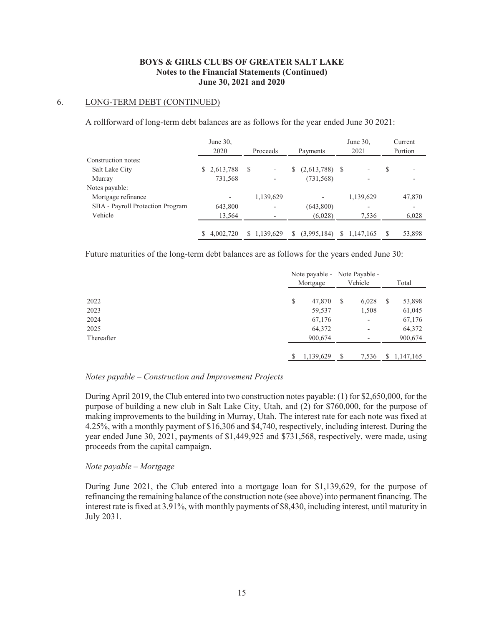#### 6. LONG-TERM DEBT (CONTINUED)

|                                  | June $30$ ,<br>2020 | Proceeds        | Payments              | June $30$ ,<br>2021 | Current<br>Portion |
|----------------------------------|---------------------|-----------------|-----------------------|---------------------|--------------------|
| Construction notes:              |                     |                 |                       |                     |                    |
| Salt Lake City                   | 2,613,788<br>S      | S               | $(2,613,788)$ \$<br>S |                     | S                  |
| Murray                           | 731,568             |                 | (731, 568)            |                     |                    |
| Notes payable:                   |                     |                 |                       |                     |                    |
| Mortgage refinance               |                     | 1,139,629       |                       | 1,139,629           | 47,870             |
| SBA - Payroll Protection Program | 643,800             |                 | (643,800)             |                     |                    |
| Vehicle                          | 13,564              |                 | (6,028)               | 7,536               | 6,028              |
|                                  |                     |                 |                       |                     |                    |
|                                  | 4,002,720<br>S      | 1,139,629<br>S. | (3,995,184)           | 1,147,165<br>S.     | 53,898             |

A rollforward of long-term debt balances are as follows for the year ended June 30 2021:

Future maturities of the long-term debt balances are as follows for the years ended June 30:

|            |    | Note payable - Note Payable -<br>Mortgage |               | Vehicle                  |    | Total     |
|------------|----|-------------------------------------------|---------------|--------------------------|----|-----------|
| 2022       | \$ | 47,870                                    | <sup>\$</sup> | 6,028                    | S  | 53,898    |
| 2023       |    | 59,537                                    |               | 1,508                    |    | 61,045    |
| 2024       |    | 67,176                                    |               | $\overline{\phantom{a}}$ |    | 67,176    |
| 2025       |    | 64,372                                    |               | $\overline{\phantom{a}}$ |    | 64,372    |
| Thereafter |    | 900,674                                   |               | $\overline{\phantom{a}}$ |    | 900,674   |
|            | S  | 1,139,629                                 | \$            | 7,536                    | S. | 1,147,165 |

#### *Notes payable – Construction and Improvement Projects*

During April 2019, the Club entered into two construction notes payable: (1) for \$2,650,000, for the purpose of building a new club in Salt Lake City, Utah, and (2) for \$760,000, for the purpose of making improvements to the building in Murray, Utah. The interest rate for each note was fixed at 4.25%, with a monthly payment of \$16,306 and \$4,740, respectively, including interest. During the year ended June 30, 2021, payments of \$1,449,925 and \$731,568, respectively, were made, using proceeds from the capital campaign.

# *Note payable – Mortgage*

During June 2021, the Club entered into a mortgage loan for \$1,139,629, for the purpose of refinancing the remaining balance of the construction note (see above) into permanent financing. The interest rate is fixed at 3.91%, with monthly payments of \$8,430, including interest, until maturity in July 2031.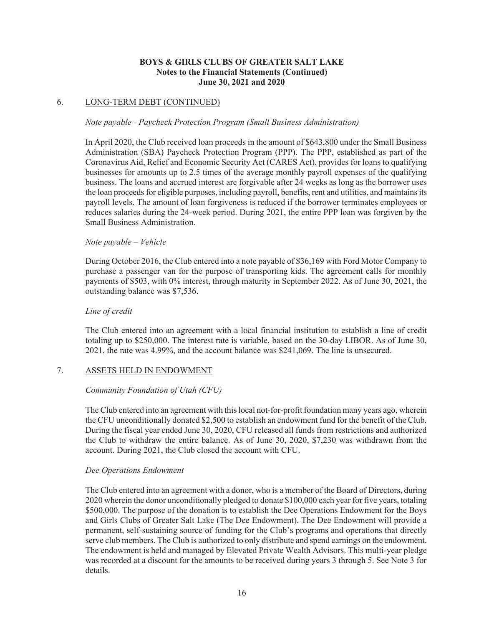# 6. LONG-TERM DEBT (CONTINUED)

### *Note payable - Paycheck Protection Program (Small Business Administration)*

In April 2020, the Club received loan proceeds in the amount of \$643,800 under the Small Business Administration (SBA) Paycheck Protection Program (PPP). The PPP, established as part of the Coronavirus Aid, Relief and Economic Security Act (CARES Act), provides for loans to qualifying businesses for amounts up to 2.5 times of the average monthly payroll expenses of the qualifying business. The loans and accrued interest are forgivable after 24 weeks as long as the borrower uses the loan proceeds for eligible purposes, including payroll, benefits, rent and utilities, and maintains its payroll levels. The amount of loan forgiveness is reduced if the borrower terminates employees or reduces salaries during the 24-week period. During 2021, the entire PPP loan was forgiven by the Small Business Administration.

### *Note payable – Vehicle*

During October 2016, the Club entered into a note payable of \$36,169 with Ford Motor Company to purchase a passenger van for the purpose of transporting kids. The agreement calls for monthly payments of \$503, with 0% interest, through maturity in September 2022. As of June 30, 2021, the outstanding balance was \$7,536.

### *Line of credit*

The Club entered into an agreement with a local financial institution to establish a line of credit totaling up to \$250,000. The interest rate is variable, based on the 30-day LIBOR. As of June 30, 2021, the rate was 4.99%, and the account balance was \$241,069. The line is unsecured.

# 7. ASSETS HELD IN ENDOWMENT

# *Community Foundation of Utah (CFU)*

The Club entered into an agreement with this local not-for-profit foundation many years ago, wherein the CFU unconditionally donated \$2,500 to establish an endowment fund for the benefit of the Club. During the fiscal year ended June 30, 2020, CFU released all funds from restrictions and authorized the Club to withdraw the entire balance. As of June 30, 2020, \$7,230 was withdrawn from the account. During 2021, the Club closed the account with CFU.

#### *Dee Operations Endowment*

The Club entered into an agreement with a donor, who is a member of the Board of Directors, during 2020 wherein the donor unconditionally pledged to donate \$100,000 each year for five years, totaling \$500,000. The purpose of the donation is to establish the Dee Operations Endowment for the Boys and Girls Clubs of Greater Salt Lake (The Dee Endowment). The Dee Endowment will provide a permanent, self-sustaining source of funding for the Club's programs and operations that directly serve club members. The Club is authorized to only distribute and spend earnings on the endowment. The endowment is held and managed by Elevated Private Wealth Advisors. This multi-year pledge was recorded at a discount for the amounts to be received during years 3 through 5. See Note 3 for details.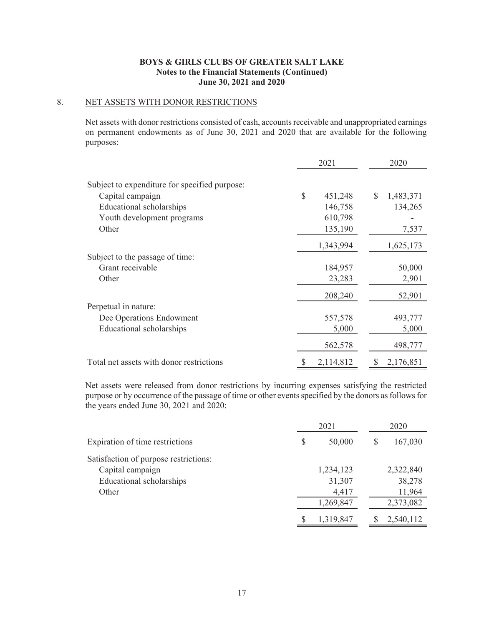# 8. NET ASSETS WITH DONOR RESTRICTIONS

Net assets with donor restrictions consisted of cash, accounts receivable and unappropriated earnings on permanent endowments as of June 30, 2021 and 2020 that are available for the following purposes:

|                                               | 2021                     | 2020                      |
|-----------------------------------------------|--------------------------|---------------------------|
| Subject to expenditure for specified purpose: |                          |                           |
| Capital campaign                              | $\mathcal{S}$<br>451,248 | $\mathbb{S}$<br>1,483,371 |
| Educational scholarships                      | 146,758                  | 134,265                   |
| Youth development programs                    | 610,798                  |                           |
| Other                                         | 135,190                  | 7,537                     |
|                                               | 1,343,994                | 1,625,173                 |
| Subject to the passage of time:               |                          |                           |
| Grant receivable                              | 184,957                  | 50,000                    |
| Other                                         | 23,283                   | 2,901                     |
|                                               | 208,240                  | 52,901                    |
| Perpetual in nature:                          |                          |                           |
| Dee Operations Endowment                      | 557,578                  | 493,777                   |
| Educational scholarships                      | 5,000                    | 5,000                     |
|                                               | 562,578                  | 498,777                   |
| Total net assets with donor restrictions      | 2,114,812                | 2,176,851                 |

Net assets were released from donor restrictions by incurring expenses satisfying the restricted purpose or by occurrence of the passage of time or other events specified by the donors as follows for the years ended June 30, 2021 and 2020:

|                                       | 2021         | 2020      |
|---------------------------------------|--------------|-----------|
| Expiration of time restrictions       | \$<br>50,000 | 167,030   |
| Satisfaction of purpose restrictions: |              |           |
| Capital campaign                      | 1,234,123    | 2,322,840 |
| Educational scholarships              | 31,307       | 38,278    |
| Other                                 | 4,417        | 11,964    |
|                                       | 1,269,847    | 2,373,082 |
|                                       | 1,319,847    | 2,540,112 |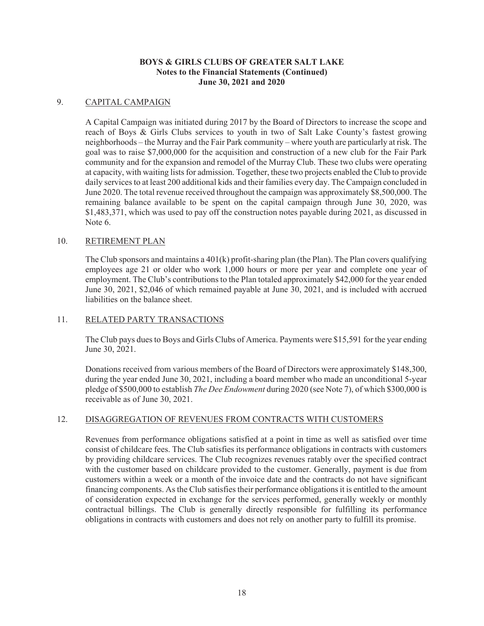# 9. CAPITAL CAMPAIGN

A Capital Campaign was initiated during 2017 by the Board of Directors to increase the scope and reach of Boys & Girls Clubs services to youth in two of Salt Lake County's fastest growing neighborhoods – the Murray and the Fair Park community – where youth are particularly at risk. The goal was to raise \$7,000,000 for the acquisition and construction of a new club for the Fair Park community and for the expansion and remodel of the Murray Club. These two clubs were operating at capacity, with waiting lists for admission. Together, these two projects enabled the Club to provide daily services to at least 200 additional kids and their families every day. The Campaign concluded in June 2020. The total revenue received throughout the campaign was approximately \$8,500,000. The remaining balance available to be spent on the capital campaign through June 30, 2020, was \$1,483,371, which was used to pay off the construction notes payable during 2021, as discussed in Note 6.

### 10. RETIREMENT PLAN

The Club sponsors and maintains a  $401(k)$  profit-sharing plan (the Plan). The Plan covers qualifying employees age 21 or older who work 1,000 hours or more per year and complete one year of employment. The Club's contributions to the Plan totaled approximately \$42,000 for the year ended June 30, 2021, \$2,046 of which remained payable at June 30, 2021, and is included with accrued liabilities on the balance sheet.

# 11. RELATED PARTY TRANSACTIONS

The Club pays dues to Boys and Girls Clubs of America. Payments were \$15,591 for the year ending June 30, 2021.

Donations received from various members of the Board of Directors were approximately \$148,300, during the year ended June 30, 2021, including a board member who made an unconditional 5-year pledge of \$500,000 to establish *The Dee Endowment* during 2020 (see Note 7), of which \$300,000 is receivable as of June 30, 2021.

# 12. DISAGGREGATION OF REVENUES FROM CONTRACTS WITH CUSTOMERS

Revenues from performance obligations satisfied at a point in time as well as satisfied over time consist of childcare fees. The Club satisfies its performance obligations in contracts with customers by providing childcare services. The Club recognizes revenues ratably over the specified contract with the customer based on childcare provided to the customer. Generally, payment is due from customers within a week or a month of the invoice date and the contracts do not have significant financing components. As the Club satisfies their performance obligations it is entitled to the amount of consideration expected in exchange for the services performed, generally weekly or monthly contractual billings. The Club is generally directly responsible for fulfilling its performance obligations in contracts with customers and does not rely on another party to fulfill its promise.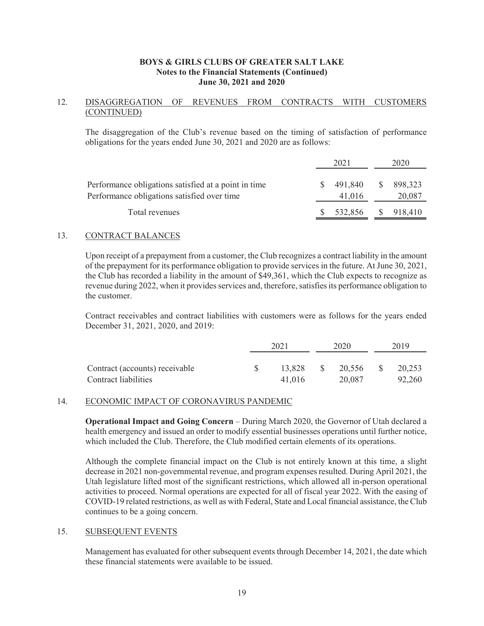# 12. DISAGGREGATION OF REVENUES FROM CONTRACTS WITH CUSTOMERS (CONTINUED)

The disaggregation of the Club's revenue based on the timing of satisfaction of performance obligations for the years ended June 30, 2021 and 2020 are as follows:

|                                                                                                     |   | 2021              |    | 2020              |
|-----------------------------------------------------------------------------------------------------|---|-------------------|----|-------------------|
| Performance obligations satisfied at a point in time<br>Performance obligations satisfied over time | S | 491,840<br>41,016 | -S | 898,323<br>20,087 |
| Total revenues                                                                                      |   | 532,856           | -S | 918,410           |

# 13. CONTRACT BALANCES

Upon receipt of a prepayment from a customer, the Club recognizes a contract liability in the amount of the prepayment for its performance obligation to provide services in the future. At June 30, 2021, the Club has recorded a liability in the amount of \$49,361, which the Club expects to recognize as revenue during 2022, when it provides services and, therefore, satisfies its performance obligation to the customer.

Contract receivables and contract liabilities with customers were as follows for the years ended December 31, 2021, 2020, and 2019:

|                                | 2021   |    | 2020      |  | 2019   |  |
|--------------------------------|--------|----|-----------|--|--------|--|
| Contract (accounts) receivable | 13.828 | -S | 20,556 \$ |  | 20,253 |  |
| Contract liabilities           | 41,016 |    | 20,087    |  | 92,260 |  |

#### 14. ECONOMIC IMPACT OF CORONAVIRUS PANDEMIC

**Operational Impact and Going Concern** – During March 2020, the Governor of Utah declared a health emergency and issued an order to modify essential businesses operations until further notice, which included the Club. Therefore, the Club modified certain elements of its operations.

Although the complete financial impact on the Club is not entirely known at this time, a slight decrease in 2021 non-governmental revenue, and program expenses resulted. During April 2021, the Utah legislature lifted most of the significant restrictions, which allowed all in-person operational activities to proceed. Normal operations are expected for all of fiscal year 2022. With the easing of COVID-19 related restrictions, as well as with Federal, State and Local financial assistance, the Club continues to be a going concern.

# 15. SUBSEQUENT EVENTS

Management has evaluated for other subsequent events through December 14, 2021, the date which these financial statements were available to be issued.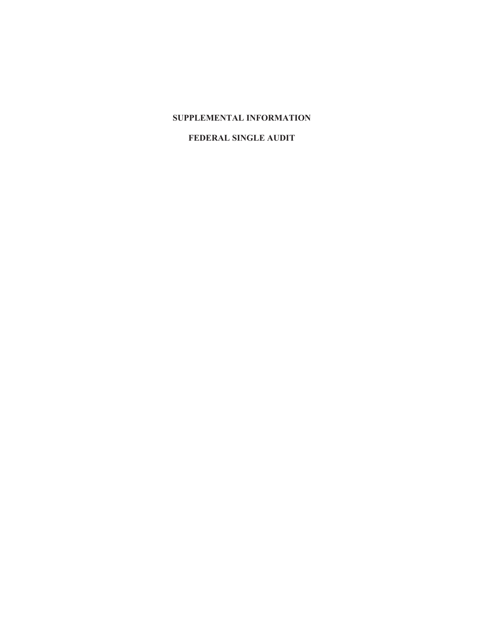# **SUPPLEMENTAL INFORMATION**

# **FEDERAL SINGLE AUDIT**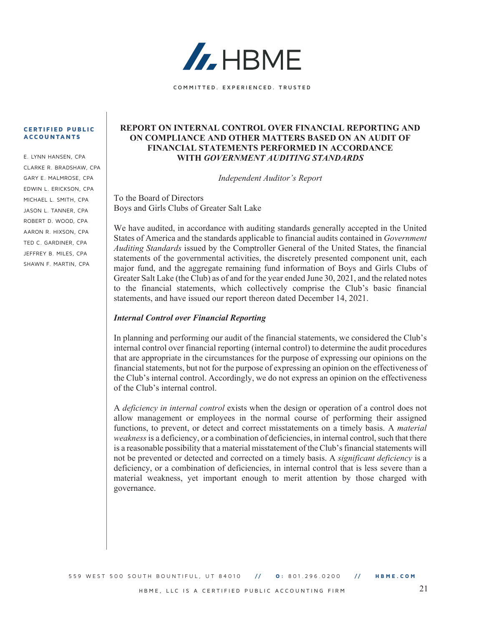

**COMMITTED. EXPERIENCED. TRUSTED**

#### **CERTIFIED PUBLIC** ACCOUNTANTS

E. LYNN HANSEN, CPA CLARKE R. BRADSHAW, CPA GARY E. MALMROSE, CPA EDWIN L. ERICKSON, CPA MICHAEL L. SMITH, CPA JASON L. TANNER, CPA ROBERT D. WOOD, CPA AARON R. HIXSON, CPA TED C. GARDINER, CPA JEFFREY B. MILES, CPA SHAWN F. MARTIN, CPA

# **REPORT ON INTERNAL CONTROL OVER FINANCIAL REPORTING AND ON COMPLIANCE AND OTHER MATTERS BASED ON AN AUDIT OF FINANCIAL STATEMENTS PERFORMED IN ACCORDANCE WITH** *GOVERNMENT AUDITING STANDARDS*

*Independent Auditor's Report* 

To the Board of Directors Boys and Girls Clubs of Greater Salt Lake

We have audited, in accordance with auditing standards generally accepted in the United States of America and the standards applicable to financial audits contained in *Government Auditing Standards* issued by the Comptroller General of the United States, the financial statements of the governmental activities, the discretely presented component unit, each major fund, and the aggregate remaining fund information of Boys and Girls Clubs of Greater Salt Lake (the Club) as of and for the year ended June 30, 2021, and the related notes to the financial statements, which collectively comprise the Club's basic financial statements, and have issued our report thereon dated December 14, 2021.

#### *Internal Control over Financial Reporting*

In planning and performing our audit of the financial statements, we considered the Club's internal control over financial reporting (internal control) to determine the audit procedures that are appropriate in the circumstances for the purpose of expressing our opinions on the financial statements, but not for the purpose of expressing an opinion on the effectiveness of the Club's internal control. Accordingly, we do not express an opinion on the effectiveness of the Club's internal control.

A *deficiency in internal control* exists when the design or operation of a control does not allow management or employees in the normal course of performing their assigned functions, to prevent, or detect and correct misstatements on a timely basis. A *material weakness* is a deficiency, or a combination of deficiencies, in internal control, such that there is a reasonable possibility that a material misstatement of the Club's financial statements will not be prevented or detected and corrected on a timely basis. A *significant deficiency* is a deficiency, or a combination of deficiencies, in internal control that is less severe than a material weakness, yet important enough to merit attention by those charged with governance.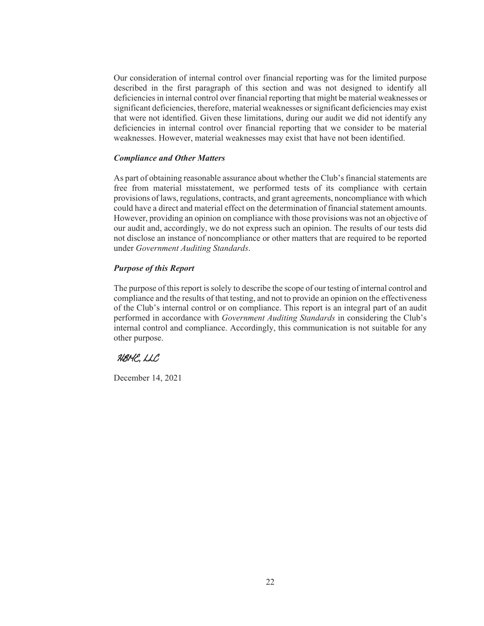Our consideration of internal control over financial reporting was for the limited purpose described in the first paragraph of this section and was not designed to identify all deficiencies in internal control over financial reporting that might be material weaknesses or significant deficiencies, therefore, material weaknesses or significant deficiencies may exist that were not identified. Given these limitations, during our audit we did not identify any deficiencies in internal control over financial reporting that we consider to be material weaknesses. However, material weaknesses may exist that have not been identified.

#### *Compliance and Other Matters*

As part of obtaining reasonable assurance about whether the Club's financial statements are free from material misstatement, we performed tests of its compliance with certain provisions of laws, regulations, contracts, and grant agreements, noncompliance with which could have a direct and material effect on the determination of financial statement amounts. However, providing an opinion on compliance with those provisions was not an objective of our audit and, accordingly, we do not express such an opinion. The results of our tests did not disclose an instance of noncompliance or other matters that are required to be reported under *Government Auditing Standards*.

#### *Purpose of this Report*

The purpose of this report is solely to describe the scope of our testing of internal control and compliance and the results of that testing, and not to provide an opinion on the effectiveness of the Club's internal control or on compliance. This report is an integral part of an audit performed in accordance with *Government Auditing Standards* in considering the Club's internal control and compliance. Accordingly, this communication is not suitable for any other purpose.

# HBME, LLC

December 14, 2021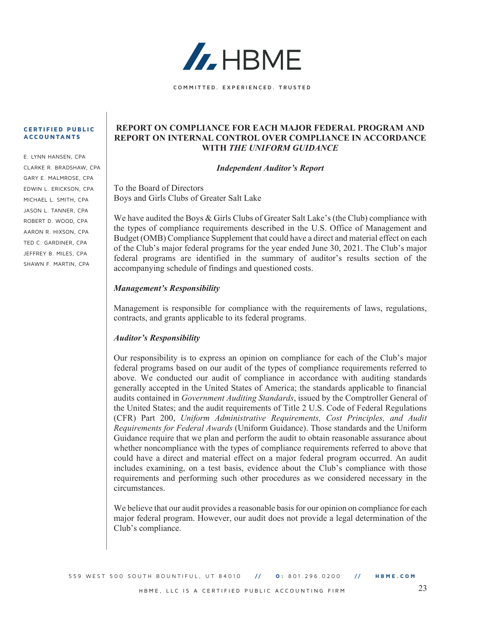

#### **COMMITTED. EXPERIENCED. TRUSTED**

#### **CERTIFIED PUBLIC** ACCOUNTANTS

E. LYNN HANSEN, CPA CLARKE R. BRADSHAW, CPA GARY F. MALMROSE, CPA EDWIN L. ERICKSON, CPA MICHAEL L. SMITH, CPA JASON L. TANNER, CPA ROBERT D. WOOD, CPA AARON R. HIXSON, CPA TED C. GARDINER, CPA JEFFREY B. MILES, CPA SHAWN F. MARTIN, CPA

# **REPORT ON COMPLIANCE FOR EACH MAJOR FEDERAL PROGRAM AND REPORT ON INTERNAL CONTROL OVER COMPLIANCE IN ACCORDANCE WITH** *THE UNIFORM GUIDANCE*

*Independent Auditor's Report*

To the Board of Directors Boys and Girls Clubs of Greater Salt Lake

We have audited the Boys & Girls Clubs of Greater Salt Lake's (the Club) compliance with the types of compliance requirements described in the U.S. Office of Management and Budget (OMB) Compliance Supplement that could have a direct and material effect on each of the Club's major federal programs for the year ended June 30, 2021. The Club's major federal programs are identified in the summary of auditor's results section of the accompanying schedule of findings and questioned costs.

#### *Management's Responsibility*

Management is responsible for compliance with the requirements of laws, regulations, contracts, and grants applicable to its federal programs.

# *Auditor's Responsibility*

Our responsibility is to express an opinion on compliance for each of the Club's major federal programs based on our audit of the types of compliance requirements referred to above. We conducted our audit of compliance in accordance with auditing standards generally accepted in the United States of America; the standards applicable to financial audits contained in *Government Auditing Standards*, issued by the Comptroller General of the United States; and the audit requirements of Title 2 U.S. Code of Federal Regulations (CFR) Part 200, *Uniform Administrative Requirements, Cost Principles, and Audit Requirements for Federal Awards* (Uniform Guidance). Those standards and the Uniform Guidance require that we plan and perform the audit to obtain reasonable assurance about whether noncompliance with the types of compliance requirements referred to above that could have a direct and material effect on a major federal program occurred. An audit includes examining, on a test basis, evidence about the Club's compliance with those requirements and performing such other procedures as we considered necessary in the circumstances.

We believe that our audit provides a reasonable basis for our opinion on compliance for each major federal program. However, our audit does not provide a legal determination of the Club's compliance.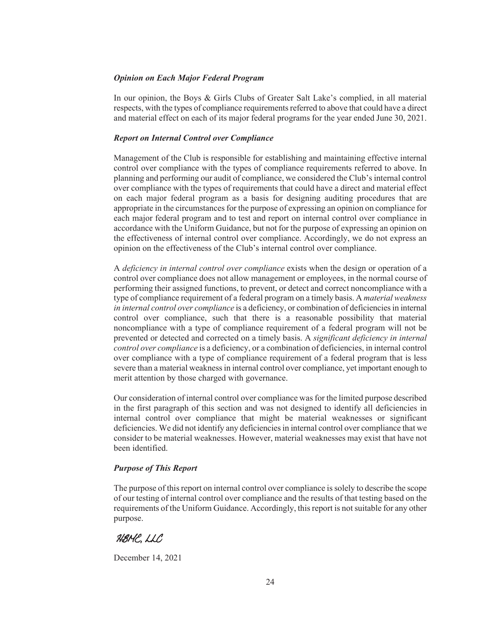# *Opinion on Each Major Federal Program*

In our opinion, the Boys & Girls Clubs of Greater Salt Lake's complied, in all material respects, with the types of compliance requirements referred to above that could have a direct and material effect on each of its major federal programs for the year ended June 30, 2021.

#### *Report on Internal Control over Compliance*

Management of the Club is responsible for establishing and maintaining effective internal control over compliance with the types of compliance requirements referred to above. In planning and performing our audit of compliance, we considered the Club's internal control over compliance with the types of requirements that could have a direct and material effect on each major federal program as a basis for designing auditing procedures that are appropriate in the circumstances for the purpose of expressing an opinion on compliance for each major federal program and to test and report on internal control over compliance in accordance with the Uniform Guidance, but not for the purpose of expressing an opinion on the effectiveness of internal control over compliance. Accordingly, we do not express an opinion on the effectiveness of the Club's internal control over compliance.

A *deficiency in internal control over compliance* exists when the design or operation of a control over compliance does not allow management or employees, in the normal course of performing their assigned functions, to prevent, or detect and correct noncompliance with a type of compliance requirement of a federal program on a timely basis. A *material weakness in internal control over compliance* is a deficiency, or combination of deficiencies in internal control over compliance, such that there is a reasonable possibility that material noncompliance with a type of compliance requirement of a federal program will not be prevented or detected and corrected on a timely basis. A *significant deficiency in internal control over compliance* is a deficiency, or a combination of deficiencies, in internal control over compliance with a type of compliance requirement of a federal program that is less severe than a material weakness in internal control over compliance, yet important enough to merit attention by those charged with governance.

Our consideration of internal control over compliance was for the limited purpose described in the first paragraph of this section and was not designed to identify all deficiencies in internal control over compliance that might be material weaknesses or significant deficiencies. We did not identify any deficiencies in internal control over compliance that we consider to be material weaknesses. However, material weaknesses may exist that have not been identified.

# *Purpose of This Report*

The purpose of this report on internal control over compliance is solely to describe the scope of our testing of internal control over compliance and the results of that testing based on the requirements of the Uniform Guidance. Accordingly, this report is not suitable for any other purpose.

# HBME, LLC

December 14, 2021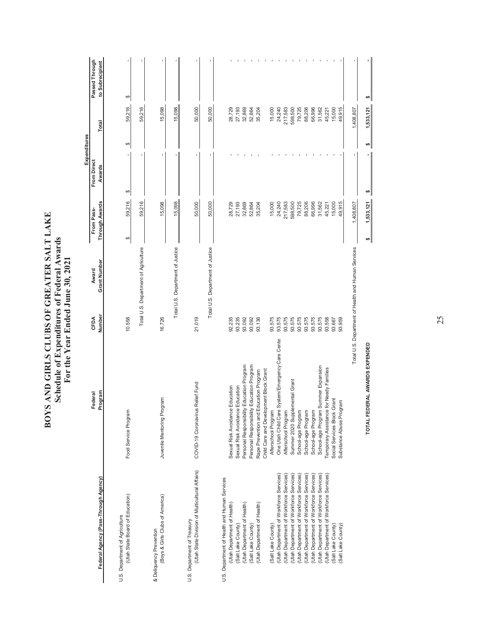**BOYS AND GIRLS CLUBS OF GREATER SALT LAKE**<br>Schedule of Expenditures of Federal Awards<br>For the Year Ended June 30, 2021 **BOYS AND GIRLS CLUBS OF GREATER SALT LAKE Schedule of Expenditures of Federal Awards For the Year Ended June 30, 2021**

|                                                                   |                                                     |        |                                                    |                       |             | Expenditures |           |                 |
|-------------------------------------------------------------------|-----------------------------------------------------|--------|----------------------------------------------------|-----------------------|-------------|--------------|-----------|-----------------|
|                                                                   | Federal                                             | CFDA   | Award                                              | From Pass-            | From Direct |              |           | Passed Through  |
| Federal Agency (Pass-Through Agency)                              | rogram                                              | Number | Grant Number                                       | <b>Through Awards</b> | Awards      |              | Total     | to Subrecipient |
|                                                                   |                                                     |        |                                                    |                       |             |              |           |                 |
| (Utah State Board of Education)<br>U.S. Department of Agriculture | Food Service Program                                | 10.558 |                                                    | 59,216<br>↔           | ↔           | ↔            | 59,216    | ↔               |
|                                                                   |                                                     |        |                                                    |                       |             |              |           |                 |
|                                                                   |                                                     |        | Total U.S. Department of Agriculture               | 59,216                |             |              | 59,216    |                 |
| & Deliquency Prevention                                           |                                                     |        |                                                    |                       |             |              |           |                 |
| (Boys & Girls Clubs of America)                                   | Juvenile Mentoring Program                          | 16.726 |                                                    | 15,098                |             |              | 15,098    |                 |
|                                                                   |                                                     |        | Total U.S. Department of Justice                   | 15,098                |             |              | 15,098    |                 |
| U.S. Department of Treasury                                       |                                                     |        |                                                    |                       |             |              |           |                 |
| (Utah State Division of Multicultural Affairs)                    | Relief Fund<br>COVID-19 Coronavirus                 | 21.019 |                                                    | 50,000                |             |              | 50,000    |                 |
|                                                                   |                                                     |        | Total U.S. Department of Justice                   | 50,000                |             |              | 50,000    |                 |
| U.S. Department of Health and Human Services                      |                                                     |        |                                                    |                       |             |              |           |                 |
| (Utah Department of Health)                                       | Education<br>Sexual Risk Avoidance                  | 92.235 |                                                    | 28,729                |             |              | 28,729    |                 |
| (Salt Lake County)                                                | Education<br>Sexual Risk Avoidance                  | 93.235 |                                                    | 27,193                |             |              | 27,193    |                 |
| (Utah Department of Health)                                       | Education Program<br>Personal Responsibility        | 93.092 |                                                    | 32,869                |             |              | 32,869    |                 |
| (Salt Lake County)                                                | Education Program<br>Personal Responsibility        | 93.092 |                                                    | 52,864                |             |              | 52,864    |                 |
| (Utah Department of Health)                                       | Rape Prevention and Education Program               | 93.136 |                                                    | 35,204                |             |              | 35,204    |                 |
|                                                                   | Child Care and Development Block Grant              |        |                                                    |                       |             |              |           |                 |
| (Salt Lake County)                                                | Afterschool Program                                 | 93.575 |                                                    | 15,000                |             |              | 15,000    |                 |
| (Utah Department of Workforce Services)                           | System/Emergency Care Center<br>One Utah Child Care | 93.575 |                                                    | 24,240                |             |              | 24,240    |                 |
| Utah Department of Workforce Services)                            | Afterschool Program                                 | 93.575 |                                                    | 217,583               |             |              | 217,583   |                 |
| (Utah Department of Workforce Services)                           | Summer 2020 Supplemental Grant                      | 93.575 |                                                    | 598,500               |             |              | 598,500   |                 |
| (Utah Department of Workforce Services)                           | School-age Program                                  | 93.575 |                                                    | 79,725                |             |              | 79,725    |                 |
| (Utah Department of Workforce Services)                           | School-age Program                                  | 93.575 |                                                    | 88,206                |             |              | 88,206    |                 |
| (Utah Department of Workforce Services)                           | School-age Program                                  | 93.575 |                                                    | 66,996                |             |              | 66,996    |                 |
| (Utah Department of Workforce Services)                           | Summer Expansion<br>School-age Program              | 93.575 |                                                    | 31,562                |             |              | 31,562    |                 |
| (Utah Department of Workforce Services)                           | for Needy Families<br>Temporary Assistance          | 93.558 |                                                    | 45,221                |             |              | 45,221    |                 |
| (Salt Lake County)                                                | Social Services Block Grant                         | 93.667 |                                                    | 15,000                |             |              | 15,000    |                 |
| Salt Lake County)                                                 | Substance Abuse Program                             | 93.959 |                                                    | 49,915                |             |              | 49,915    |                 |
|                                                                   |                                                     |        | Total U.S. Department of Health and Human Services | 1,408,807             |             |              | 1,408,807 |                 |
|                                                                   |                                                     |        |                                                    |                       |             |              |           |                 |
|                                                                   | TOTAL FEDERAL AWARDS EXPENDED                       |        |                                                    | 1,533,121<br>↮        | ↮           | ↮            | 1,533,121 | မာ              |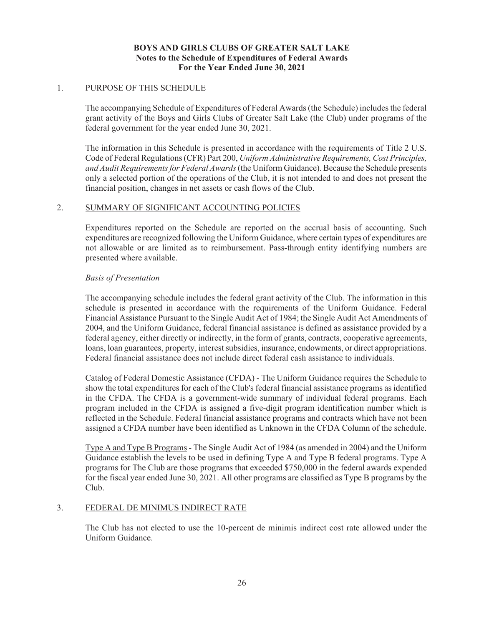# **BOYS AND GIRLS CLUBS OF GREATER SALT LAKE Notes to the Schedule of Expenditures of Federal Awards For the Year Ended June 30, 2021**

# 1. PURPOSE OF THIS SCHEDULE

The accompanying Schedule of Expenditures of Federal Awards (the Schedule) includes the federal grant activity of the Boys and Girls Clubs of Greater Salt Lake (the Club) under programs of the federal government for the year ended June 30, 2021.

The information in this Schedule is presented in accordance with the requirements of Title 2 U.S. Code of Federal Regulations (CFR) Part 200, *Uniform Administrative Requirements, Cost Principles, and Audit Requirements for Federal Awards* (the Uniform Guidance). Because the Schedule presents only a selected portion of the operations of the Club, it is not intended to and does not present the financial position, changes in net assets or cash flows of the Club.

### 2. SUMMARY OF SIGNIFICANT ACCOUNTING POLICIES

Expenditures reported on the Schedule are reported on the accrual basis of accounting. Such expenditures are recognized following the Uniform Guidance, where certain types of expenditures are not allowable or are limited as to reimbursement. Pass-through entity identifying numbers are presented where available.

# *Basis of Presentation*

The accompanying schedule includes the federal grant activity of the Club. The information in this schedule is presented in accordance with the requirements of the Uniform Guidance. Federal Financial Assistance Pursuant to the Single Audit Act of 1984; the Single Audit Act Amendments of 2004, and the Uniform Guidance, federal financial assistance is defined as assistance provided by a federal agency, either directly or indirectly, in the form of grants, contracts, cooperative agreements, loans, loan guarantees, property, interest subsidies, insurance, endowments, or direct appropriations. Federal financial assistance does not include direct federal cash assistance to individuals.

Catalog of Federal Domestic Assistance (CFDA) - The Uniform Guidance requires the Schedule to show the total expenditures for each of the Club's federal financial assistance programs as identified in the CFDA. The CFDA is a government-wide summary of individual federal programs. Each program included in the CFDA is assigned a five-digit program identification number which is reflected in the Schedule. Federal financial assistance programs and contracts which have not been assigned a CFDA number have been identified as Unknown in the CFDA Column of the schedule.

Type A and Type B Programs - The Single Audit Act of 1984 (as amended in 2004) and the Uniform Guidance establish the levels to be used in defining Type A and Type B federal programs. Type A programs for The Club are those programs that exceeded \$750,000 in the federal awards expended for the fiscal year ended June 30, 2021. All other programs are classified as Type B programs by the Club.

# 3. FEDERAL DE MINIMUS INDIRECT RATE

The Club has not elected to use the 10-percent de minimis indirect cost rate allowed under the Uniform Guidance.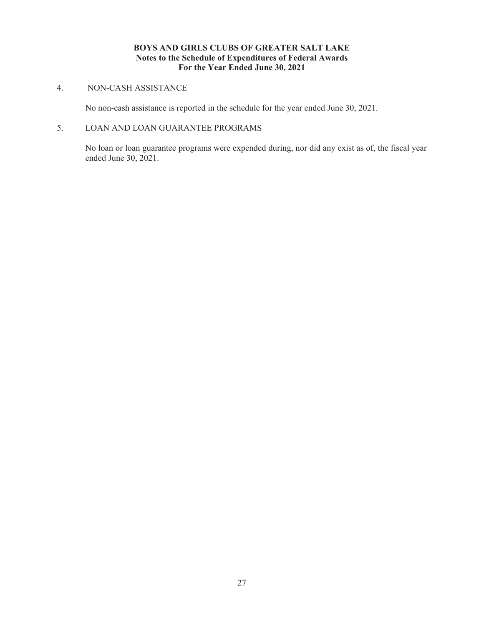# **BOYS AND GIRLS CLUBS OF GREATER SALT LAKE Notes to the Schedule of Expenditures of Federal Awards For the Year Ended June 30, 2021**

# 4. NON-CASH ASSISTANCE

No non-cash assistance is reported in the schedule for the year ended June 30, 2021.

# 5. LOAN AND LOAN GUARANTEE PROGRAMS

No loan or loan guarantee programs were expended during, nor did any exist as of, the fiscal year ended June 30, 2021.